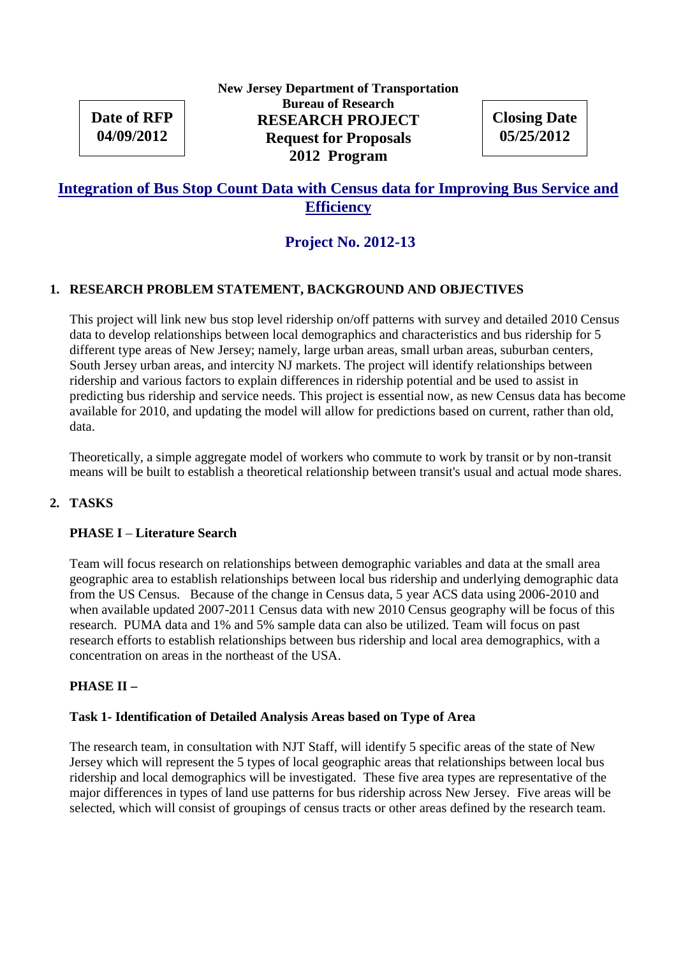# **Date of RFP 04/09/2012**

## **New Jersey Department of Transportation Bureau of Research RESEARCH PROJECT Request for Proposals 2012 Program**

**Closing Date 05/25/2012**

## **Integration of Bus Stop Count Data with Census data for Improving Bus Service and Efficiency**

# **Project No. 2012-13**

## **1. RESEARCH PROBLEM STATEMENT, BACKGROUND AND OBJECTIVES**

This project will link new bus stop level ridership on/off patterns with survey and detailed 2010 Census data to develop relationships between local demographics and characteristics and bus ridership for 5 different type areas of New Jersey; namely, large urban areas, small urban areas, suburban centers, South Jersey urban areas, and intercity NJ markets. The project will identify relationships between ridership and various factors to explain differences in ridership potential and be used to assist in predicting bus ridership and service needs. This project is essential now, as new Census data has become available for 2010, and updating the model will allow for predictions based on current, rather than old, data.

Theoretically, a simple aggregate model of workers who commute to work by transit or by non-transit means will be built to establish a theoretical relationship between transit's usual and actual mode shares.

## **2. TASKS**

## **PHASE I** – **Literature Search**

Team will focus research on relationships between demographic variables and data at the small area geographic area to establish relationships between local bus ridership and underlying demographic data from the US Census. Because of the change in Census data, 5 year ACS data using 2006-2010 and when available updated 2007-2011 Census data with new 2010 Census geography will be focus of this research. PUMA data and 1% and 5% sample data can also be utilized. Team will focus on past research efforts to establish relationships between bus ridership and local area demographics, with a concentration on areas in the northeast of the USA.

## **PHASE II –**

#### **Task 1- Identification of Detailed Analysis Areas based on Type of Area**

The research team, in consultation with NJT Staff, will identify 5 specific areas of the state of New Jersey which will represent the 5 types of local geographic areas that relationships between local bus ridership and local demographics will be investigated. These five area types are representative of the major differences in types of land use patterns for bus ridership across New Jersey. Five areas will be selected, which will consist of groupings of census tracts or other areas defined by the research team.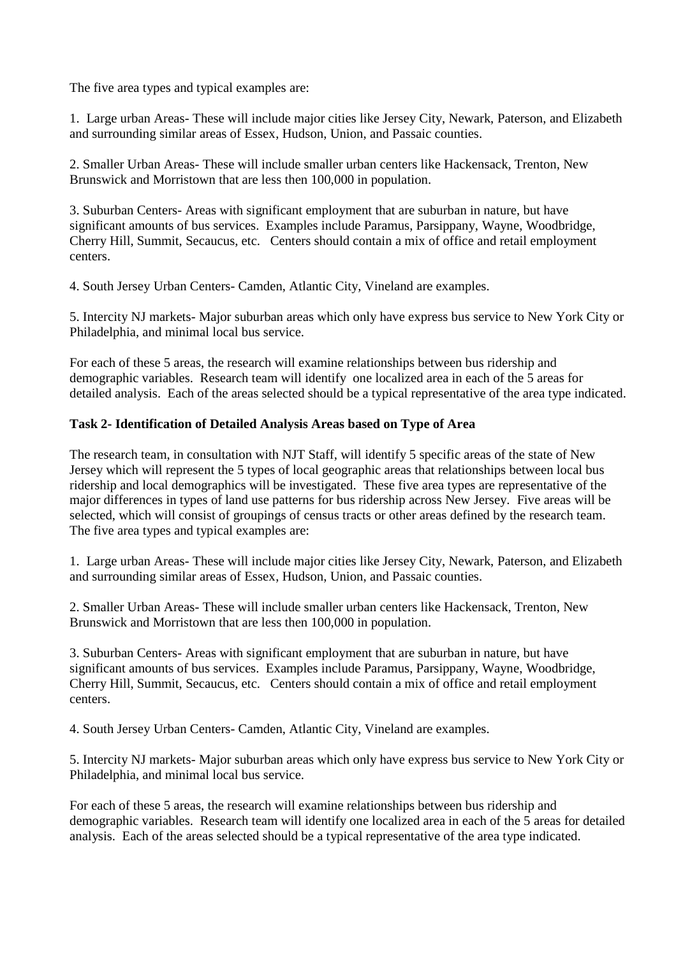The five area types and typical examples are:

1. Large urban Areas- These will include major cities like Jersey City, Newark, Paterson, and Elizabeth and surrounding similar areas of Essex, Hudson, Union, and Passaic counties.

2. Smaller Urban Areas- These will include smaller urban centers like Hackensack, Trenton, New Brunswick and Morristown that are less then 100,000 in population.

3. Suburban Centers- Areas with significant employment that are suburban in nature, but have significant amounts of bus services. Examples include Paramus, Parsippany, Wayne, Woodbridge, Cherry Hill, Summit, Secaucus, etc. Centers should contain a mix of office and retail employment centers.

4. South Jersey Urban Centers- Camden, Atlantic City, Vineland are examples.

5. Intercity NJ markets- Major suburban areas which only have express bus service to New York City or Philadelphia, and minimal local bus service.

For each of these 5 areas, the research will examine relationships between bus ridership and demographic variables. Research team will identify one localized area in each of the 5 areas for detailed analysis. Each of the areas selected should be a typical representative of the area type indicated.

#### **Task 2- Identification of Detailed Analysis Areas based on Type of Area**

The research team, in consultation with NJT Staff, will identify 5 specific areas of the state of New Jersey which will represent the 5 types of local geographic areas that relationships between local bus ridership and local demographics will be investigated. These five area types are representative of the major differences in types of land use patterns for bus ridership across New Jersey. Five areas will be selected, which will consist of groupings of census tracts or other areas defined by the research team. The five area types and typical examples are:

1. Large urban Areas- These will include major cities like Jersey City, Newark, Paterson, and Elizabeth and surrounding similar areas of Essex, Hudson, Union, and Passaic counties.

2. Smaller Urban Areas- These will include smaller urban centers like Hackensack, Trenton, New Brunswick and Morristown that are less then 100,000 in population.

3. Suburban Centers- Areas with significant employment that are suburban in nature, but have significant amounts of bus services. Examples include Paramus, Parsippany, Wayne, Woodbridge, Cherry Hill, Summit, Secaucus, etc. Centers should contain a mix of office and retail employment centers.

4. South Jersey Urban Centers- Camden, Atlantic City, Vineland are examples.

5. Intercity NJ markets- Major suburban areas which only have express bus service to New York City or Philadelphia, and minimal local bus service.

For each of these 5 areas, the research will examine relationships between bus ridership and demographic variables. Research team will identify one localized area in each of the 5 areas for detailed analysis. Each of the areas selected should be a typical representative of the area type indicated.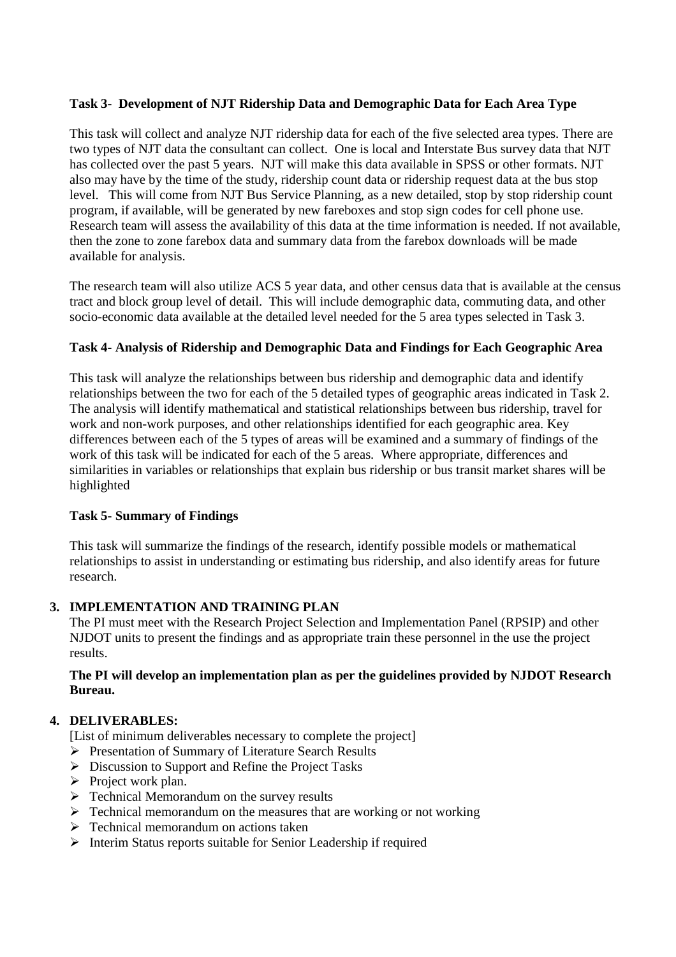## **Task 3- Development of NJT Ridership Data and Demographic Data for Each Area Type**

This task will collect and analyze NJT ridership data for each of the five selected area types. There are two types of NJT data the consultant can collect. One is local and Interstate Bus survey data that NJT has collected over the past 5 years. NJT will make this data available in SPSS or other formats. NJT also may have by the time of the study, ridership count data or ridership request data at the bus stop level. This will come from NJT Bus Service Planning, as a new detailed, stop by stop ridership count program, if available, will be generated by new fareboxes and stop sign codes for cell phone use. Research team will assess the availability of this data at the time information is needed. If not available, then the zone to zone farebox data and summary data from the farebox downloads will be made available for analysis.

The research team will also utilize ACS 5 year data, and other census data that is available at the census tract and block group level of detail. This will include demographic data, commuting data, and other socio-economic data available at the detailed level needed for the 5 area types selected in Task 3.

## **Task 4- Analysis of Ridership and Demographic Data and Findings for Each Geographic Area**

This task will analyze the relationships between bus ridership and demographic data and identify relationships between the two for each of the 5 detailed types of geographic areas indicated in Task 2. The analysis will identify mathematical and statistical relationships between bus ridership, travel for work and non-work purposes, and other relationships identified for each geographic area. Key differences between each of the 5 types of areas will be examined and a summary of findings of the work of this task will be indicated for each of the 5 areas. Where appropriate, differences and similarities in variables or relationships that explain bus ridership or bus transit market shares will be highlighted

## **Task 5- Summary of Findings**

This task will summarize the findings of the research, identify possible models or mathematical relationships to assist in understanding or estimating bus ridership, and also identify areas for future research.

## **3. IMPLEMENTATION AND TRAINING PLAN**

The PI must meet with the Research Project Selection and Implementation Panel (RPSIP) and other NJDOT units to present the findings and as appropriate train these personnel in the use the project results.

#### **The PI will develop an implementation plan as per the guidelines provided by NJDOT Research Bureau.**

## **4. DELIVERABLES:**

[List of minimum deliverables necessary to complete the project]

- Presentation of Summary of Literature Search Results
- $\triangleright$  Discussion to Support and Refine the Project Tasks
- $\triangleright$  Project work plan.
- $\triangleright$  Technical Memorandum on the survey results
- $\triangleright$  Technical memorandum on the measures that are working or not working
- $\triangleright$  Technical memorandum on actions taken
- $\triangleright$  Interim Status reports suitable for Senior Leadership if required